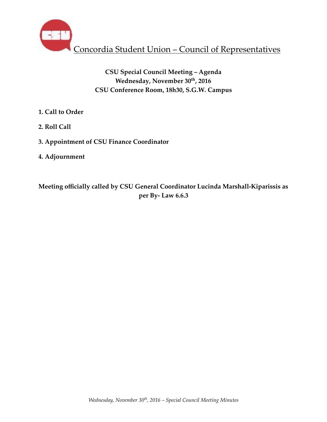

# **CSU Special Council Meeting – Agenda** Wednesday, November 30<sup>th</sup>, 2016 **CSU Conference Room, 18h30, S.G.W. Campus**

- **1. Call to Order**
- **2. Roll Call**
- **3. Appointment of CSU Finance Coordinator**
- **4. Adjournment**

**Meeting officially called by CSU General Coordinator Lucinda Marshall-Kiparissis as per By- Law 6.6.3**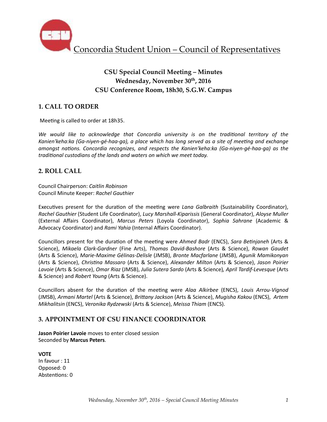

# **CSU Special Council Meeting – Minutes** Wednesday, November 30<sup>th</sup>, 2016 **CSU Conference Room, 18h30, S.G.W. Campus**

## **1. CALL TO ORDER**

Meeting is called to order at 18h35.

We would like to acknowledge that Concordia university is on the traditional territory of the Kanien'keha:ka (Ga-niyen-gé-haa-ga), a place which has long served as a site of meeting and exchange *amongst nations. Concordia recognizes, and respects the Kanien'keha:ka (Ga-niyen-gé-haa-ga)* as the *traditional custodians of the lands and waters on which we meet today.* 

#### **2. ROLL CALL**

Council Chairperson: *Caitlin Robinson* Council Minute Keeper: *Rachel Gauthier*

Executives present for the duration of the meeting were *Lana Galbraith* (Sustainability Coordinator), *Rachel Gauthier* (Student Life Coordinator), *Lucy Marshall-Kiparissis* (General Coordinator), *Aloyse Muller* (External Affairs Coordinator), *Marcus Peters*  (Loyola Coordinator), *Sophia Sahrane*  (Academic & Advocacy Coordinator) and *Rami Yahia* (Internal Affairs Coordinator).

Councillors present for the duration of the meeting were *Ahmed Badr* (ENCS), *Sara Betinjaneh* (Arts & Science), Mikaela Clark-Gardner (Fine Arts), Thomas David-Bashore (Arts & Science), Rowan Gaudet (Arts & Science), *Marie-Maxime Gélinas-Delisle* (JMSB), *Bronte Macfarlane* (JMSB), *Agunik Mamikonyan*  (Arts & Science), *Chris6na Massaro* (Arts & Science), *Alexander Milton* (Arts & Science), *Jason Poirier Lavoie* (Arts & Science), *Omar Riaz* (JMSB), *Julia Sutera Sardo* (Arts & Science)*, April Tardif-Levesque* (Arts & Science) and *Robert Young* (Arts & Science).

Councillors absent for the duration of the meeting were *Alaa Alkirbee* (ENCS), Louis Arrou-Vignod (JMSB), *Armani Martel* (Arts & Science), *BriVany Jackson* (Arts & Science), *Mugisha Kakou* (ENCS), *Artem Mikhalitsin* (ENCS), *Veronika Rydzewski* (Arts & Science), *Meissa Thiam* (ENCS).

#### **3. APPOINTMENT OF CSU FINANCE COORDINATOR**

**Jason Poirier Lavoie** moves to enter closed session Seconded by **Marcus Peters**. 

**VOTE**  In favour : 11 Opposed: 0 Abstentions: 0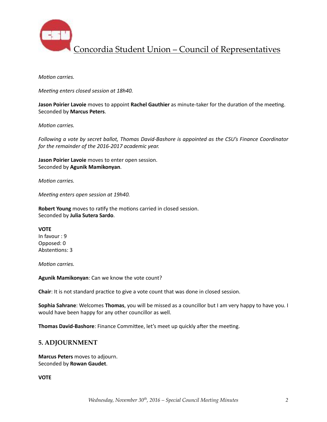

Concordia Student Union – Council of Representatives

*Motion carries.* 

*Meeting enters closed session at 18h40.* 

**Jason Poirier Lavoie** moves to appoint Rachel Gauthier as minute-taker for the duration of the meeting. Seconded by **Marcus Peters**. 

*Motion carries.* 

*Following a vote by secret ballot, Thomas David-Bashore is appointed as the CSU's Finance Coordinator* for the remainder of the 2016-2017 academic year.

**Jason Poirier Lavoie** moves to enter open session. Seconded by **Agunik Mamikonyan**. 

*Motion carries.* 

*Meeting enters open session at 19h40.* 

**Robert Young** moves to ratify the motions carried in closed session. Seconded by **Julia Sutera Sardo**.

**VOTE** In favour : 9 Opposed: 0 Abstentions: 3

*Motion carries.* 

Agunik Mamikonyan: Can we know the vote count?

**Chair**: It is not standard practice to give a vote count that was done in closed session.

**Sophia Sahrane**: Welcomes Thomas, you will be missed as a councillor but I am very happy to have you. I would have been happy for any other councillor as well.

**Thomas David-Bashore**: Finance Committee, let's meet up quickly after the meeting.

#### **5. ADJOURNMENT**

**Marcus Peters** moves to adjourn. Seconded by **Rowan Gaudet**. 

**VOTE**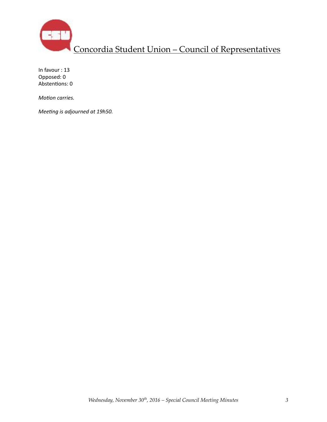

In favour : 13 Opposed: 0 Abstentions: 0

*Motion carries.* 

*Meeting is adjourned at 19h50.*